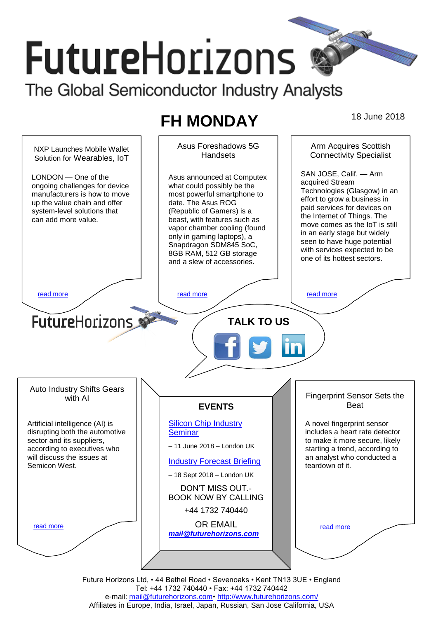# **FutureHorizons** The Global Semiconductor Industry Analysts

# **FH MONDAY** 18 June 2018



Future Horizons Ltd, • 44 Bethel Road • Sevenoaks • Kent TN13 3UE • England Tel: +44 1732 740440 • Fax: +44 1732 740442 e-mail: mail@futurehorizons.com• http://www.futurehorizons.com/ Affiliates in Europe, India, Israel, Japan, Russian, San Jose California, USA